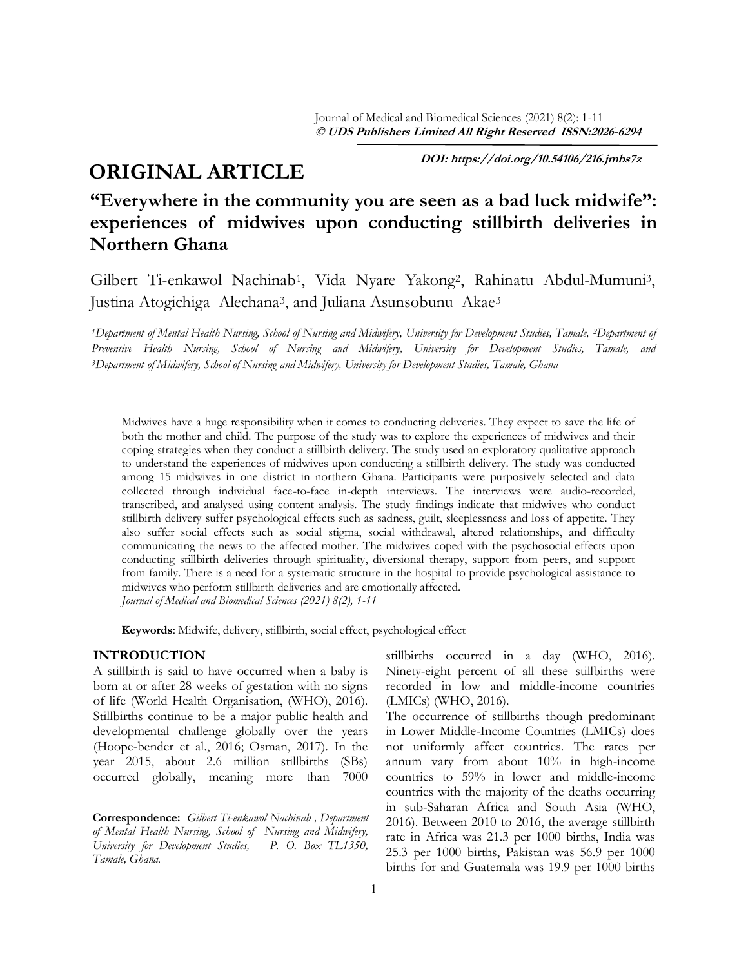# **ORIGINAL ARTICLE**

 **DOI: https://doi.org/10.54106/216.jmbs7z**

## **"Everywhere in the community you are seen as a bad luck midwife": experiences of midwives upon conducting stillbirth deliveries in Northern Ghana**

Gilbert Ti-enkawol Nachinab1, Vida Nyare Yakong2, Rahinatu Abdul-Mumuni3, Justina Atogichiga Alechana3, and Juliana Asunsobunu Akae<sup>3</sup>

*<sup>1</sup>Department of Mental Health Nursing, School of Nursing and Midwifery, University for Development Studies, Tamale, <sup>2</sup><i>Department of Preventive Health Nursing, School of Nursing and Midwifery, University for Development Studies, Tamale, and <sup>3</sup>Department of Midwifery, School of Nursing and Midwifery, University for Development Studies, Tamale, Ghana*

Midwives have a huge responsibility when it comes to conducting deliveries. They expect to save the life of both the mother and child. The purpose of the study was to explore the experiences of midwives and their coping strategies when they conduct a stillbirth delivery. The study used an exploratory qualitative approach to understand the experiences of midwives upon conducting a stillbirth delivery. The study was conducted among 15 midwives in one district in northern Ghana. Participants were purposively selected and data collected through individual face-to-face in-depth interviews. The interviews were audio-recorded, transcribed, and analysed using content analysis. The study findings indicate that midwives who conduct stillbirth delivery suffer psychological effects such as sadness, guilt, sleeplessness and loss of appetite. They also suffer social effects such as social stigma, social withdrawal, altered relationships, and difficulty communicating the news to the affected mother. The midwives coped with the psychosocial effects upon conducting stillbirth deliveries through spirituality, diversional therapy, support from peers, and support from family. There is a need for a systematic structure in the hospital to provide psychological assistance to midwives who perform stillbirth deliveries and are emotionally affected. *Journal of Medical and Biomedical Sciences (2021) 8(2), 1-11*

**Keywords**: Midwife, delivery, stillbirth, social effect, psychological effect

## **INTRODUCTION**

A stillbirth is said to have occurred when a baby is born at or after 28 weeks of gestation with no signs of life (World Health Organisation, (WHO), 2016). Stillbirths continue to be a major public health and developmental challenge globally over the years (Hoope-bender et al., 2016; Osman, 2017). In the year 2015, about 2.6 million stillbirths (SBs) occurred globally, meaning more than 7000

**Correspondence:** *Gilbert Ti-enkawol Nachinab , Department of Mental Health Nursing, School of Nursing and Midwifery,*  University for Development Studies, *Tamale, Ghana.*

stillbirths occurred in a day (WHO, 2016). Ninety-eight percent of all these stillbirths were recorded in low and middle-income countries (LMICs) (WHO, 2016).

The occurrence of stillbirths though predominant in Lower Middle-Income Countries (LMICs) does not uniformly affect countries. The rates per annum vary from about 10% in high-income countries to 59% in lower and middle-income countries with the majority of the deaths occurring in sub-Saharan Africa and South Asia (WHO, 2016). Between 2010 to 2016, the average stillbirth rate in Africa was 21.3 per 1000 births, India was 25.3 per 1000 births, Pakistan was 56.9 per 1000 births for and Guatemala was 19.9 per 1000 births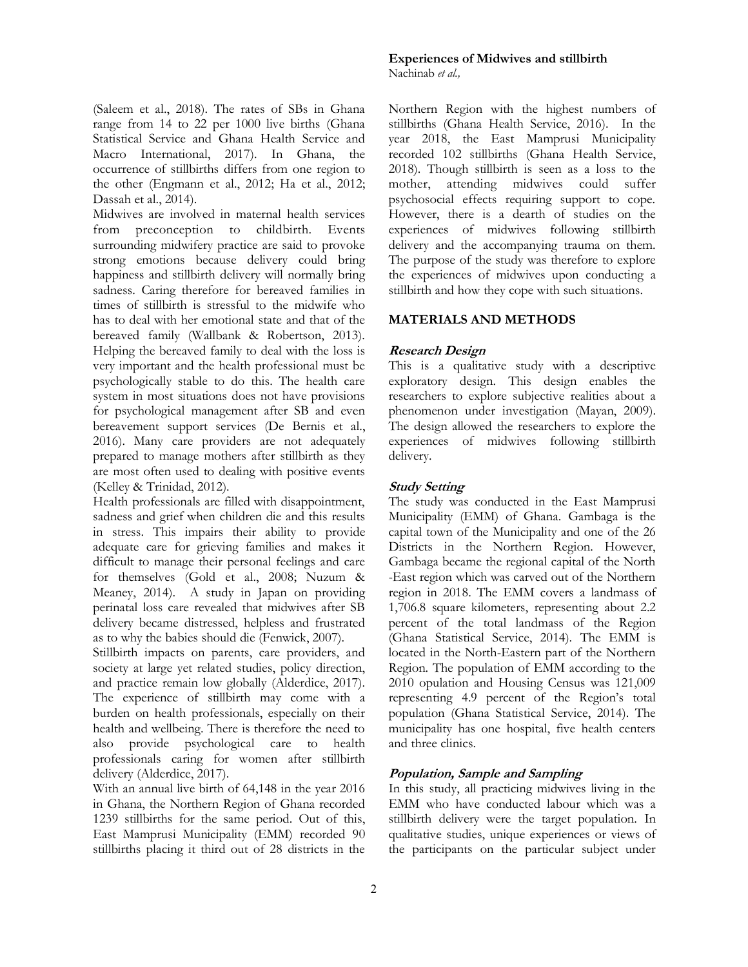(Saleem et al., 2018). The rates of SBs in Ghana range from 14 to 22 per 1000 live births (Ghana Statistical Service and Ghana Health Service and Macro International, 2017). In Ghana, the occurrence of stillbirths differs from one region to the other (Engmann et al., 2012; Ha et al., 2012; Dassah et al., 2014).

Midwives are involved in maternal health services from preconception to childbirth. Events surrounding midwifery practice are said to provoke strong emotions because delivery could bring happiness and stillbirth delivery will normally bring sadness. Caring therefore for bereaved families in times of stillbirth is stressful to the midwife who has to deal with her emotional state and that of the bereaved family (Wallbank & Robertson, 2013). Helping the bereaved family to deal with the loss is very important and the health professional must be psychologically stable to do this. The health care system in most situations does not have provisions for psychological management after SB and even bereavement support services (De Bernis et al., 2016). Many care providers are not adequately prepared to manage mothers after stillbirth as they are most often used to dealing with positive events (Kelley & Trinidad, 2012).

Health professionals are filled with disappointment, sadness and grief when children die and this results in stress. This impairs their ability to provide adequate care for grieving families and makes it difficult to manage their personal feelings and care for themselves (Gold et al., 2008; Nuzum & Meaney, 2014). A study in Japan on providing perinatal loss care revealed that midwives after SB delivery became distressed, helpless and frustrated as to why the babies should die (Fenwick, 2007).

Stillbirth impacts on parents, care providers, and society at large yet related studies, policy direction, and practice remain low globally (Alderdice, 2017). The experience of stillbirth may come with a burden on health professionals, especially on their health and wellbeing. There is therefore the need to also provide psychological care to health professionals caring for women after stillbirth delivery (Alderdice, 2017).

With an annual live birth of 64,148 in the year 2016 in Ghana, the Northern Region of Ghana recorded 1239 stillbirths for the same period. Out of this, East Mamprusi Municipality (EMM) recorded 90 stillbirths placing it third out of 28 districts in the

#### **Experiences of Midwives and stillbirth**  Nachinab *et al.,*

Northern Region with the highest numbers of stillbirths (Ghana Health Service, 2016). In the year 2018, the East Mamprusi Municipality recorded 102 stillbirths (Ghana Health Service, 2018). Though stillbirth is seen as a loss to the mother, attending midwives could suffer psychosocial effects requiring support to cope. However, there is a dearth of studies on the experiences of midwives following stillbirth delivery and the accompanying trauma on them. The purpose of the study was therefore to explore the experiences of midwives upon conducting a stillbirth and how they cope with such situations.

## **MATERIALS AND METHODS**

## **Research Design**

This is a qualitative study with a descriptive exploratory design. This design enables the researchers to explore subjective realities about a phenomenon under investigation (Mayan, 2009). The design allowed the researchers to explore the experiences of midwives following stillbirth delivery.

## **Study Setting**

The study was conducted in the East Mamprusi Municipality (EMM) of Ghana. Gambaga is the capital town of the Municipality and one of the 26 Districts in the Northern Region. However, Gambaga became the regional capital of the North -East region which was carved out of the Northern region in 2018. The EMM covers a landmass of 1,706.8 square kilometers, representing about 2.2 percent of the total landmass of the Region (Ghana Statistical Service, 2014). The EMM is located in the North-Eastern part of the Northern Region. The population of EMM according to the 2010 opulation and Housing Census was 121,009 representing 4.9 percent of the Region's total population (Ghana Statistical Service, 2014). The municipality has one hospital, five health centers and three clinics.

## **Population, Sample and Sampling**

In this study, all practicing midwives living in the EMM who have conducted labour which was a stillbirth delivery were the target population. In qualitative studies, unique experiences or views of the participants on the particular subject under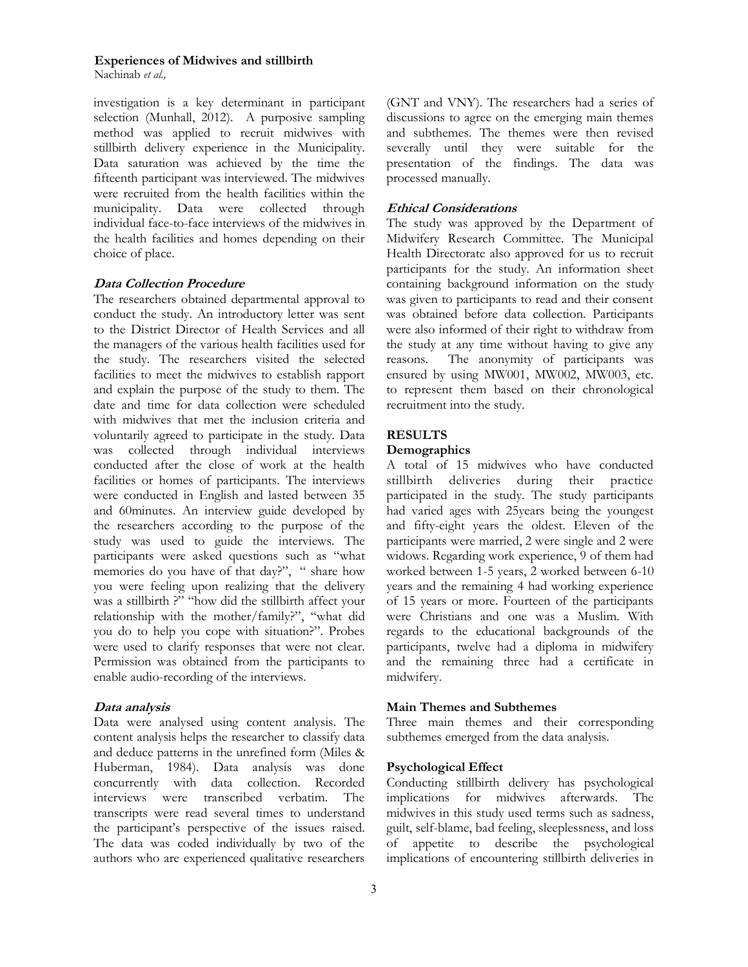Nachinab *et al.,*

investigation is a key determinant in participant selection (Munhall, 2012). A purposive sampling method was applied to recruit midwives with stillbirth delivery experience in the Municipality. Data saturation was achieved by the time the fifteenth participant was interviewed. The midwives were recruited from the health facilities within the municipality. Data were collected through individual face-to-face interviews of the midwives in the health facilities and homes depending on their choice of place.

#### **Data Collection Procedure**

The researchers obtained departmental approval to conduct the study. An introductory letter was sent to the District Director of Health Services and all the managers of the various health facilities used for the study. The researchers visited the selected facilities to meet the midwives to establish rapport and explain the purpose of the study to them. The date and time for data collection were scheduled with midwives that met the inclusion criteria and voluntarily agreed to participate in the study. Data was collected through individual interviews conducted after the close of work at the health facilities or homes of participants. The interviews were conducted in English and lasted between 35 and 60minutes. An interview guide developed by the researchers according to the purpose of the study was used to guide the interviews. The participants were asked questions such as "what memories do you have of that day?", " share how you were feeling upon realizing that the delivery was a stillbirth ?" "how did the stillbirth affect your relationship with the mother/family?", "what did you do to help you cope with situation?". Probes were used to clarify responses that were not clear. Permission was obtained from the participants to enable audio-recording of the interviews.

#### **Data analysis**

Data were analysed using content analysis. The content analysis helps the researcher to classify data and deduce patterns in the unrefined form (Miles & Huberman, 1984). Data analysis was done concurrently with data collection. Recorded interviews were transcribed verbatim. The transcripts were read several times to understand the participant's perspective of the issues raised. The data was coded individually by two of the authors who are experienced qualitative researchers (GNT and VNY). The researchers had a series of discussions to agree on the emerging main themes and subthemes. The themes were then revised severally until they were suitable for the presentation of the findings. The data was processed manually.

#### **Ethical Considerations**

The study was approved by the Department of Midwifery Research Committee. The Municipal Health Directorate also approved for us to recruit participants for the study. An information sheet containing background information on the study was given to participants to read and their consent was obtained before data collection. Participants were also informed of their right to withdraw from the study at any time without having to give any reasons. The anonymity of participants was ensured by using MW001, MW002, MW003, etc. to represent them based on their chronological recruitment into the study.

## **RESULTS**

### **Demographics**

A total of 15 midwives who have conducted stillbirth deliveries during their practice participated in the study. The study participants had varied ages with 25years being the youngest and fifty-eight years the oldest. Eleven of the participants were married, 2 were single and 2 were widows. Regarding work experience, 9 of them had worked between 1-5 years, 2 worked between 6-10 years and the remaining 4 had working experience of 15 years or more. Fourteen of the participants were Christians and one was a Muslim. With regards to the educational backgrounds of the participants, twelve had a diploma in midwifery and the remaining three had a certificate in midwifery.

#### **Main Themes and Subthemes**

Three main themes and their corresponding subthemes emerged from the data analysis.

#### **Psychological Effect**

Conducting stillbirth delivery has psychological implications for midwives afterwards. The midwives in this study used terms such as sadness, guilt, self-blame, bad feeling, sleeplessness, and loss of appetite to describe the psychological implications of encountering stillbirth deliveries in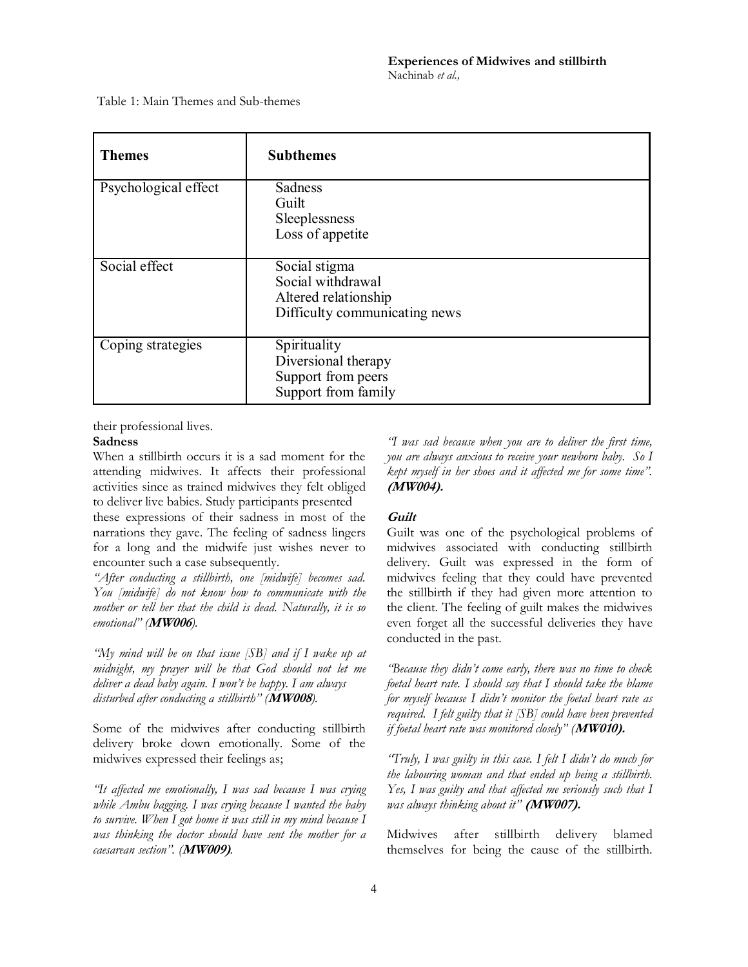Table 1: Main Themes and Sub-themes

| <b>Themes</b>        | <b>Subthemes</b>                                                                            |
|----------------------|---------------------------------------------------------------------------------------------|
| Psychological effect | Sadness<br>Guilt<br>Sleeplessness<br>Loss of appetite                                       |
| Social effect        | Social stigma<br>Social withdrawal<br>Altered relationship<br>Difficulty communicating news |
| Coping strategies    | Spirituality<br>Diversional therapy<br>Support from peers<br>Support from family            |

their professional lives.

#### **Sadness**

When a stillbirth occurs it is a sad moment for the attending midwives. It affects their professional activities since as trained midwives they felt obliged to deliver live babies. Study participants presented

these expressions of their sadness in most of the narrations they gave. The feeling of sadness lingers for a long and the midwife just wishes never to encounter such a case subsequently.

*"After conducting a stillbirth, one [midwife] becomes sad. You [midwife] do not know how to communicate with the mother or tell her that the child is dead. Naturally, it is so emotional" (***MW006***).*

*"My mind will be on that issue [SB] and if I wake up at midnight, my prayer will be that God should not let me deliver a dead baby again. I won't be happy. I am always disturbed after conducting a stillbirth" (***MW008***).*

Some of the midwives after conducting stillbirth delivery broke down emotionally. Some of the midwives expressed their feelings as;

*"It affected me emotionally, I was sad because I was crying while Ambu bagging. I was crying because I wanted the baby to survive. When I got home it was still in my mind because I was thinking the doctor should have sent the mother for a caesarean section". (***MW009)***.*

*"I was sad because when you are to deliver the first time, you are always anxious to receive your newborn baby. So I kept myself in her shoes and it affected me for some time".*  **(MW004).** 

## **Guilt**

Guilt was one of the psychological problems of midwives associated with conducting stillbirth delivery. Guilt was expressed in the form of midwives feeling that they could have prevented the stillbirth if they had given more attention to the client. The feeling of guilt makes the midwives even forget all the successful deliveries they have conducted in the past.

*"Because they didn't come early, there was no time to check foetal heart rate. I should say that I should take the blame for myself because I didn't monitor the foetal heart rate as required. I felt guilty that it [SB] could have been prevented if foetal heart rate was monitored closely" (***MW010).**

*"Truly, I was guilty in this case. I felt I didn't do much for the labouring woman and that ended up being a stillbirth. Yes, I was guilty and that affected me seriously such that I was always thinking about it"* **(MW007).**

Midwives after stillbirth delivery blamed themselves for being the cause of the stillbirth.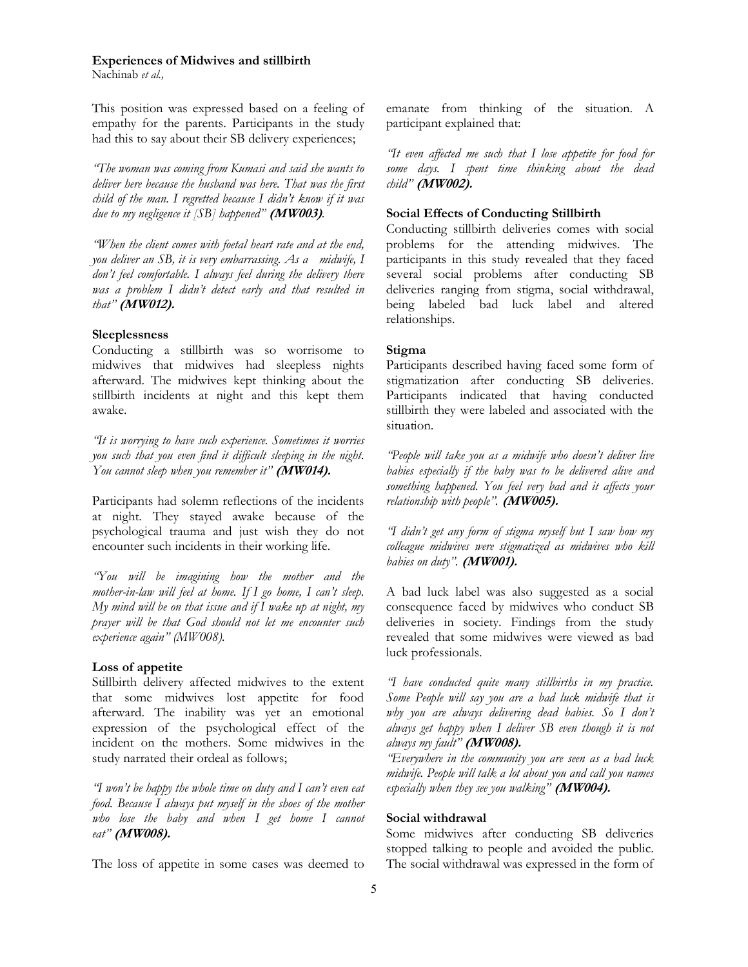Nachinab *et al.,*

This position was expressed based on a feeling of empathy for the parents. Participants in the study had this to say about their SB delivery experiences;

*"The woman was coming from Kumasi and said she wants to deliver here because the husband was here. That was the first child of the man. I regretted because I didn't know if it was due to my negligence it [SB] happened"* **(MW003)**.

*"When the client comes with foetal heart rate and at the end, you deliver an SB, it is very embarrassing. As a midwife, I don't feel comfortable. I always feel during the delivery there was a problem I didn't detect early and that resulted in that"* **(MW012).**

#### **Sleeplessness**

Conducting a stillbirth was so worrisome to midwives that midwives had sleepless nights afterward. The midwives kept thinking about the stillbirth incidents at night and this kept them awake.

*"It is worrying to have such experience. Sometimes it worries you such that you even find it difficult sleeping in the night. You cannot sleep when you remember it"* **(MW014).**

Participants had solemn reflections of the incidents at night. They stayed awake because of the psychological trauma and just wish they do not encounter such incidents in their working life.

*"You will be imagining how the mother and the mother-in-law will feel at home. If I go home, I can't sleep. My mind will be on that issue and if I wake up at night, my prayer will be that God should not let me encounter such experience again" (MW008).* 

#### **Loss of appetite**

Stillbirth delivery affected midwives to the extent that some midwives lost appetite for food afterward. The inability was yet an emotional expression of the psychological effect of the incident on the mothers. Some midwives in the study narrated their ordeal as follows;

*"I won't be happy the whole time on duty and I can't even eat food. Because I always put myself in the shoes of the mother who lose the baby and when I get home I cannot eat"* **(MW008).**

The loss of appetite in some cases was deemed to

emanate from thinking of the situation. A participant explained that:

*"It even affected me such that I lose appetite for food for some days. I spent time thinking about the dead child"* **(MW002).**

## **Social Effects of Conducting Stillbirth**

Conducting stillbirth deliveries comes with social problems for the attending midwives. The participants in this study revealed that they faced several social problems after conducting SB deliveries ranging from stigma, social withdrawal, being labeled bad luck label and altered relationships.

#### **Stigma**

Participants described having faced some form of stigmatization after conducting SB deliveries. Participants indicated that having conducted stillbirth they were labeled and associated with the situation.

*"People will take you as a midwife who doesn't deliver live babies especially if the baby was to be delivered alive and something happened. You feel very bad and it affects your relationship with people".* **(MW005).**

*"I didn't get any form of stigma myself but I saw how my colleague midwives were stigmatized as midwives who kill babies on duty".* **(MW001).** 

A bad luck label was also suggested as a social consequence faced by midwives who conduct SB deliveries in society. Findings from the study revealed that some midwives were viewed as bad luck professionals.

*"I have conducted quite many stillbirths in my practice. Some People will say you are a bad luck midwife that is why you are always delivering dead babies. So I don't always get happy when I deliver SB even though it is not always my fault"* **(MW008).**

*"Everywhere in the community you are seen as a bad luck midwife. People will talk a lot about you and call you names especially when they see you walking"* **(MW004).**

## **Social withdrawal**

Some midwives after conducting SB deliveries stopped talking to people and avoided the public. The social withdrawal was expressed in the form of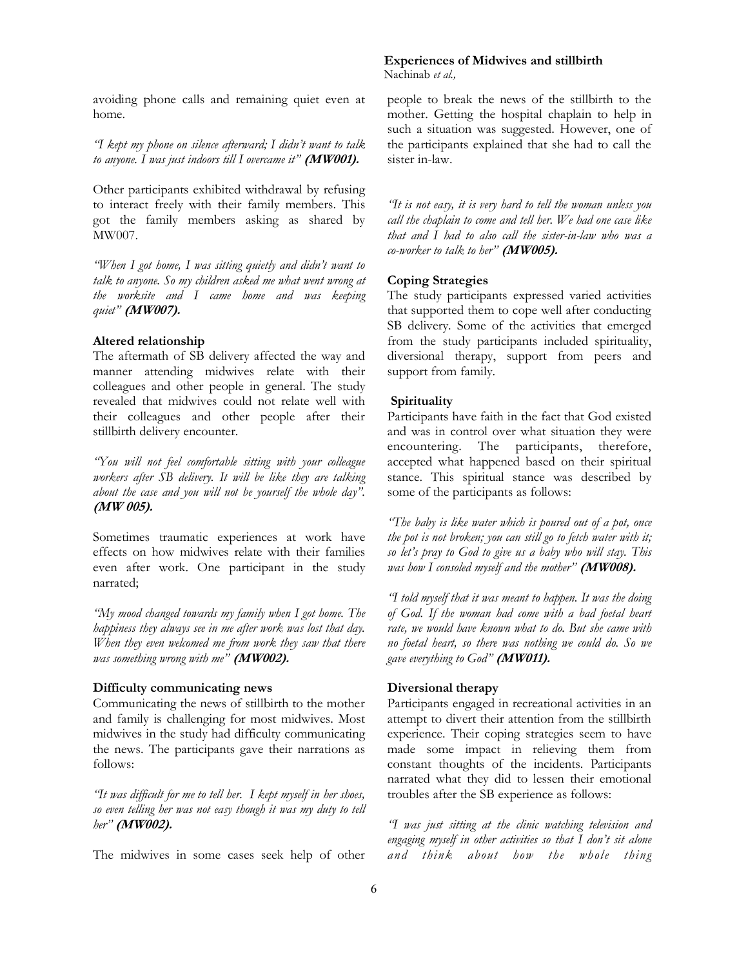avoiding phone calls and remaining quiet even at home.

*"I kept my phone on silence afterward; I didn't want to talk to anyone. I was just indoors till I overcame it"* **(MW001).**

Other participants exhibited withdrawal by refusing to interact freely with their family members. This got the family members asking as shared by MW007.

*"When I got home, I was sitting quietly and didn't want to talk to anyone. So my children asked me what went wrong at the worksite and I came home and was keeping quiet"* **(MW007).** 

## **Altered relationship**

The aftermath of SB delivery affected the way and manner attending midwives relate with their colleagues and other people in general. The study revealed that midwives could not relate well with their colleagues and other people after their stillbirth delivery encounter.

*"You will not feel comfortable sitting with your colleague workers after SB delivery. It will be like they are talking about the case and you will not be yourself the whole day".*  **(MW 005).** 

Sometimes traumatic experiences at work have effects on how midwives relate with their families even after work. One participant in the study narrated;

*"My mood changed towards my family when I got home. The happiness they always see in me after work was lost that day. When they even welcomed me from work they saw that there was something wrong with me"* **(MW002).**

#### **Difficulty communicating news**

Communicating the news of stillbirth to the mother and family is challenging for most midwives. Most midwives in the study had difficulty communicating the news. The participants gave their narrations as follows:

*"It was difficult for me to tell her. I kept myself in her shoes, so even telling her was not easy though it was my duty to tell her"* **(MW002).**

The midwives in some cases seek help of other

#### **Experiences of Midwives and stillbirth**  Nachinab *et al.,*

people to break the news of the stillbirth to the mother. Getting the hospital chaplain to help in such a situation was suggested. However, one of the participants explained that she had to call the sister in-law.

*"It is not easy, it is very hard to tell the woman unless you call the chaplain to come and tell her. We had one case like that and I had to also call the sister-in-law who was a co-worker to talk to her"* **(MW005).**

#### **Coping Strategies**

The study participants expressed varied activities that supported them to cope well after conducting SB delivery. Some of the activities that emerged from the study participants included spirituality, diversional therapy, support from peers and support from family.

## **Spirituality**

Participants have faith in the fact that God existed and was in control over what situation they were encountering. The participants, therefore, accepted what happened based on their spiritual stance. This spiritual stance was described by some of the participants as follows:

*"The baby is like water which is poured out of a pot, once the pot is not broken; you can still go to fetch water with it; so let's pray to God to give us a baby who will stay. This was how I consoled myself and the mother"* **(MW008).**

*"I told myself that it was meant to happen. It was the doing of God. If the woman had come with a bad foetal heart rate, we would have known what to do. But she came with no foetal heart, so there was nothing we could do. So we gave everything to God"* **(MW011).**

#### **Diversional therapy**

Participants engaged in recreational activities in an attempt to divert their attention from the stillbirth experience. Their coping strategies seem to have made some impact in relieving them from constant thoughts of the incidents. Participants narrated what they did to lessen their emotional troubles after the SB experience as follows:

*"I was just sitting at the clinic watching television and engaging myself in other activities so that I don't sit alone and think about how the whole thing*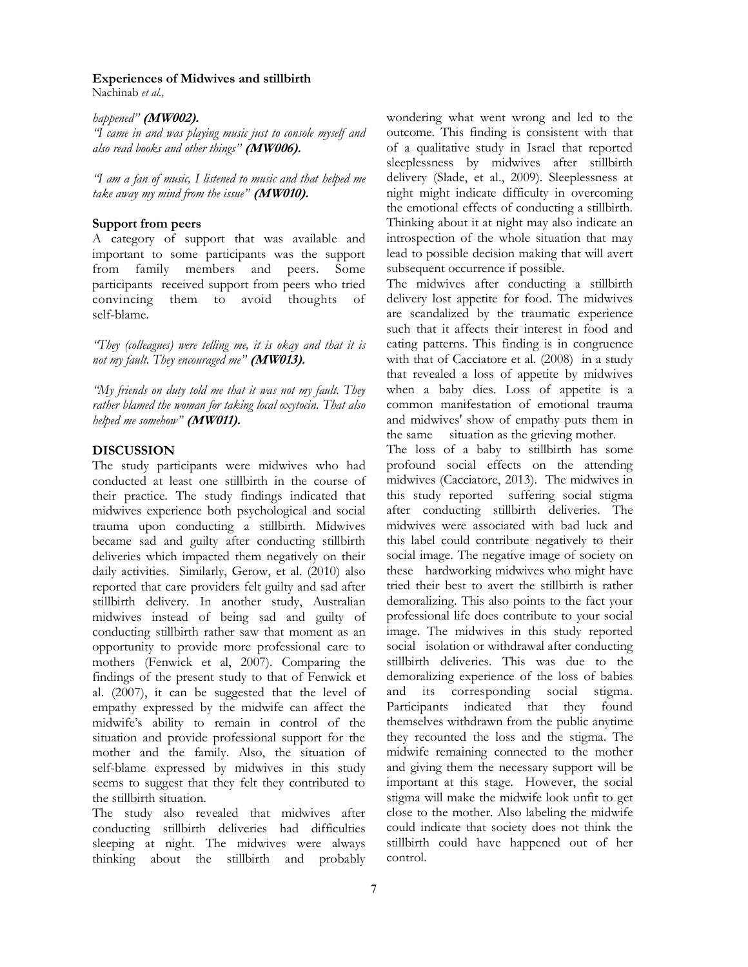Nachinab *et al.,*

## *happened"* **(MW002).**

*"I came in and was playing music just to console myself and also read books and other things"* **(MW006).**

*"I am a fan of music, I listened to music and that helped me take away my mind from the issue"* **(MW010).**

## **Support from peers**

A category of support that was available and important to some participants was the support from family members and peers. Some participants received support from peers who tried convincing them to avoid thoughts of self-blame.

*"They (colleagues) were telling me, it is okay and that it is not my fault. They encouraged me"* **(MW013).**

*"My friends on duty told me that it was not my fault. They rather blamed the woman for taking local oxytocin. That also helped me somehow"* **(MW011).**

## **DISCUSSION**

The study participants were midwives who had conducted at least one stillbirth in the course of their practice. The study findings indicated that midwives experience both psychological and social trauma upon conducting a stillbirth. Midwives became sad and guilty after conducting stillbirth deliveries which impacted them negatively on their daily activities. Similarly, Gerow, et al. (2010) also reported that care providers felt guilty and sad after stillbirth delivery. In another study, Australian midwives instead of being sad and guilty of conducting stillbirth rather saw that moment as an opportunity to provide more professional care to mothers (Fenwick et al, 2007). Comparing the findings of the present study to that of Fenwick et al. (2007), it can be suggested that the level of empathy expressed by the midwife can affect the midwife's ability to remain in control of the situation and provide professional support for the mother and the family. Also, the situation of self-blame expressed by midwives in this study seems to suggest that they felt they contributed to the stillbirth situation.

The study also revealed that midwives after conducting stillbirth deliveries had difficulties sleeping at night. The midwives were always thinking about the stillbirth and probably wondering what went wrong and led to the outcome. This finding is consistent with that of a qualitative study in Israel that reported sleeplessness by midwives after stillbirth delivery (Slade, et al., 2009). Sleeplessness at night might indicate difficulty in overcoming the emotional effects of conducting a stillbirth. Thinking about it at night may also indicate an introspection of the whole situation that may lead to possible decision making that will avert subsequent occurrence if possible.

The midwives after conducting a stillbirth delivery lost appetite for food. The midwives are scandalized by the traumatic experience such that it affects their interest in food and eating patterns. This finding is in congruence with that of Cacciatore et al. (2008) in a study that revealed a loss of appetite by midwives when a baby dies. Loss of appetite is a common manifestation of emotional trauma and midwives' show of empathy puts them in the same situation as the grieving mother.

The loss of a baby to stillbirth has some profound social effects on the attending midwives (Cacciatore, 2013). The midwives in this study reported suffering social stigma after conducting stillbirth deliveries. The midwives were associated with bad luck and this label could contribute negatively to their social image. The negative image of society on these hardworking midwives who might have tried their best to avert the stillbirth is rather demoralizing. This also points to the fact your professional life does contribute to your social image. The midwives in this study reported social isolation or withdrawal after conducting stillbirth deliveries. This was due to the demoralizing experience of the loss of babies and its corresponding social stigma. Participants indicated that they found themselves withdrawn from the public anytime they recounted the loss and the stigma. The midwife remaining connected to the mother and giving them the necessary support will be important at this stage. However, the social stigma will make the midwife look unfit to get close to the mother. Also labeling the midwife could indicate that society does not think the stillbirth could have happened out of her control.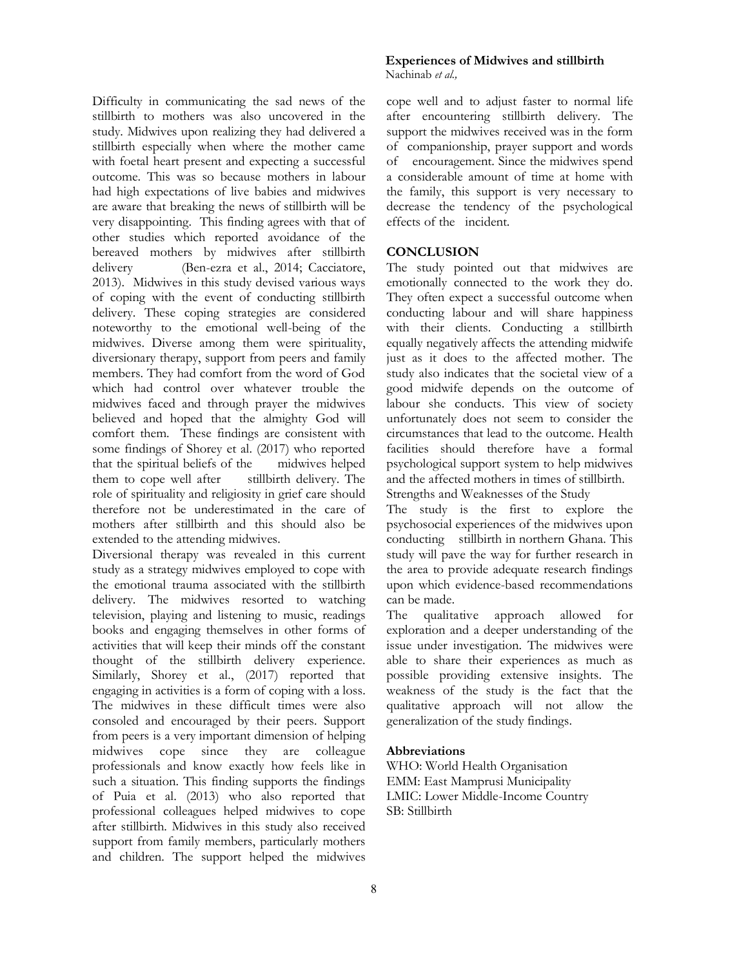Difficulty in communicating the sad news of the stillbirth to mothers was also uncovered in the study. Midwives upon realizing they had delivered a stillbirth especially when where the mother came with foetal heart present and expecting a successful outcome. This was so because mothers in labour had high expectations of live babies and midwives are aware that breaking the news of stillbirth will be very disappointing. This finding agrees with that of other studies which reported avoidance of the bereaved mothers by midwives after stillbirth delivery (Ben-ezra et al., 2014; Cacciatore, 2013). Midwives in this study devised various ways of coping with the event of conducting stillbirth delivery. These coping strategies are considered noteworthy to the emotional well-being of the midwives. Diverse among them were spirituality, diversionary therapy, support from peers and family members. They had comfort from the word of God which had control over whatever trouble the midwives faced and through prayer the midwives believed and hoped that the almighty God will comfort them. These findings are consistent with some findings of Shorey et al. (2017) who reported that the spiritual beliefs of the midwives helped them to cope well after stillbirth delivery. The role of spirituality and religiosity in grief care should therefore not be underestimated in the care of mothers after stillbirth and this should also be extended to the attending midwives.

Diversional therapy was revealed in this current study as a strategy midwives employed to cope with the emotional trauma associated with the stillbirth delivery. The midwives resorted to watching television, playing and listening to music, readings books and engaging themselves in other forms of activities that will keep their minds off the constant thought of the stillbirth delivery experience. Similarly, Shorey et al., (2017) reported that engaging in activities is a form of coping with a loss. The midwives in these difficult times were also consoled and encouraged by their peers. Support from peers is a very important dimension of helping midwives cope since they are colleague professionals and know exactly how feels like in such a situation. This finding supports the findings of Puia et al. (2013) who also reported that professional colleagues helped midwives to cope after stillbirth. Midwives in this study also received support from family members, particularly mothers and children. The support helped the midwives

## **Experiences of Midwives and stillbirth**  Nachinab *et al.,*

cope well and to adjust faster to normal life after encountering stillbirth delivery. The support the midwives received was in the form of companionship, prayer support and words of encouragement. Since the midwives spend a considerable amount of time at home with the family, this support is very necessary to decrease the tendency of the psychological effects of the incident.

## **CONCLUSION**

The study pointed out that midwives are emotionally connected to the work they do. They often expect a successful outcome when conducting labour and will share happiness with their clients. Conducting a stillbirth equally negatively affects the attending midwife just as it does to the affected mother. The study also indicates that the societal view of a good midwife depends on the outcome of labour she conducts. This view of society unfortunately does not seem to consider the circumstances that lead to the outcome. Health facilities should therefore have a formal psychological support system to help midwives and the affected mothers in times of stillbirth. Strengths and Weaknesses of the Study

The study is the first to explore the psychosocial experiences of the midwives upon conducting stillbirth in northern Ghana. This study will pave the way for further research in the area to provide adequate research findings upon which evidence-based recommendations can be made.

The qualitative approach allowed for exploration and a deeper understanding of the issue under investigation. The midwives were able to share their experiences as much as possible providing extensive insights. The weakness of the study is the fact that the qualitative approach will not allow the generalization of the study findings.

## **Abbreviations**

WHO: World Health Organisation EMM: East Mamprusi Municipality LMIC: Lower Middle-Income Country SB: Stillbirth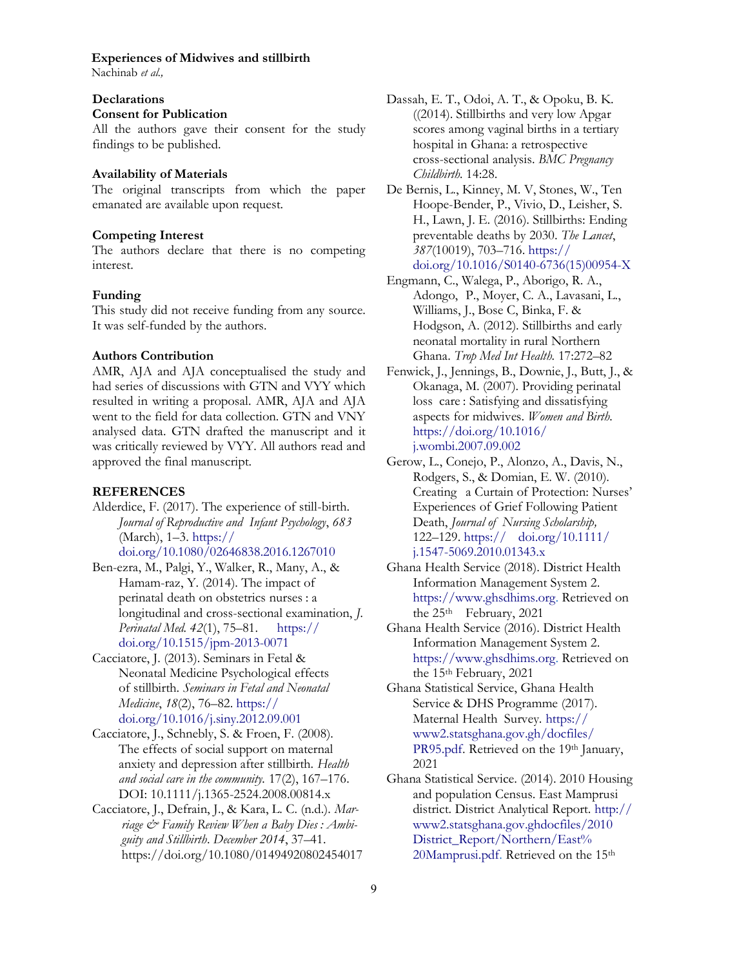Nachinab *et al.,*

## **Declarations**

### **Consent for Publication**

All the authors gave their consent for the study findings to be published.

#### **Availability of Materials**

The original transcripts from which the paper emanated are available upon request.

#### **Competing Interest**

<span id="page-8-0"></span>The authors declare that there is no competing interest.

#### **Funding**

This study did not receive funding from any source. It was self-funded by the authors.

#### **Authors Contribution**

AMR, AJA and AJA conceptualised the study and had series of discussions with GTN and VYY which resulted in writing a proposal. AMR, AJA and AJA went to the field for data collection. GTN and VNY analysed data. GTN drafted the manuscript and it was critically reviewed by VYY. All authors read and approved the final manuscript.

#### **REFERENCES**

Alderdice, F. (2017). The experience of still-birth. *Journal of Reproductive and Infant Psychology*, *683* (March), 1–3. [https://](#page-8-0)

[doi.org/10.1080/02646838.2016.1267010](#page-8-0)

- Ben-ezra, M., Palgi, Y., Walker, R., Many, A., & Hamam-raz, Y. (2014). The impact of perinatal death on obstetrics nurses : a longitudinal and cross-sectional examination, *J. Perinatal Med. 42*(1), 75–81. [https://](https://doi.org/10.1515/jpm-2013-0071) [doi.org/10.1515/jpm-2013-0071](https://doi.org/10.1515/jpm-2013-0071)
- Cacciatore, J. (2013). Seminars in Fetal & Neonatal Medicine Psychological effects of stillbirth. *Seminars in Fetal and Neonatal Medicine*, *18*(2), 76–82. [https://](https://doi.org/10.1016/j.siny.2012.09.001) [doi.org/10.1016/j.siny.2012.09.001](https://doi.org/10.1016/j.siny.2012.09.001)
- Cacciatore, J., Schnebly, S. & Froen, F. (2008). The effects of social support on maternal anxiety and depression after stillbirth. *Health and social care in the community.* 17(2), 167–176. DOI: 10.1111/j.1365-2524.2008.00814.x
- Cacciatore, J., Defrain, J., & Kara, L. C. (n.d.). *Marriage & Family Review When a Baby Dies : Ambiguity and Stillbirth*. *December 2014*, 37–41. https://doi.org/10.1080/01494920802454017
- Dassah, E. T., Odoi, A. T., & Opoku, B. K. ((2014). Stillbirths and very low Apgar scores among vaginal births in a tertiary hospital in Ghana: a retrospective cross-sectional analysis. *BMC Pregnancy Childbirth.* 14:28.
- De Bernis, L., Kinney, M. V, Stones, W., Ten Hoope-Bender, P., Vivio, D., Leisher, S. H., Lawn, J. E. (2016). Stillbirths: Ending preventable deaths by 2030. *The Lancet*, *387*(10019), 703–716. [https://](https://doi.org/10.1016/S0140-6736(15)00954-X) [doi.org/10.1016/S0140-6736\(15\)00954-X](https://doi.org/10.1016/S0140-6736(15)00954-X)
- Engmann, C., Walega, P., Aborigo, R. A., Adongo, P., Moyer, C. A., Lavasani, L., Williams, J., Bose C, Binka, F. & Hodgson, A. (2012). Stillbirths and early neonatal mortality in rural Northern Ghana. *Trop Med Int Health.* 17:272–82
- Fenwick, J., Jennings, B., Downie, J., Butt, J., & Okanaga, M. (2007). Providing perinatal loss care : Satisfying and dissatisfying aspects for midwives. *Women and Birth.*  [https://doi.org/10.1016/](https://doi.org/10.1016/j.wombi.2007.09.002) [j.wombi.2007.09.002](https://doi.org/10.1016/j.wombi.2007.09.002)
- Gerow, L., Conejo, P., Alonzo, A., Davis, N., Rodgers, S., & Domian, E. W. (2010). Creating a Curtain of Protection: Nurses' Experiences of Grief Following Patient Death, *Journal of Nursing Scholarship,* 122–129. https:// [doi.org/10.1111/](https://doi.org/10.1111/j.1547-5069.2010.01343.x) [j.1547-5069.2010.01343.x](https://doi.org/10.1111/j.1547-5069.2010.01343.x)
- Ghana Health Service (2018). District Health Information Management System 2. [https://www.ghsdhims.org.](https://www.ghsdhims.org) Retrieved on the 25<sup>th</sup> February, 2021
- Ghana Health Service (2016). District Health Information Management System 2. [https://www.ghsdhims.org.](https://www.ghsdhims.org) Retrieved on the 15th February, 2021
- Ghana Statistical Service, Ghana Health Service & DHS Programme (2017). Maternal Health Survey. [https://](https://www2.statsghana.gov.gh/docfiles/PR95.pdf) [www2.statsghana.gov.gh/docfiles/](https://www2.statsghana.gov.gh/docfiles/PR95.pdf) [PR95.pdf.](https://www2.statsghana.gov.gh/docfiles/PR95.pdf) Retrieved on the 19th January, 2021
- Ghana Statistical Service. (2014). 2010 Housing and population Census. East Mamprusi district. District Analytical Report. [http://](http://www2.statsghana.gov.gh/docfiles/2010_District_Report/Northern/East%20Mamprusi.pdf) [www2.statsghana.gov.ghdocfiles/2010](http://www2.statsghana.gov.gh/docfiles/2010_District_Report/Northern/East%20Mamprusi.pdf)  [District\\_Report/Northern/East%](http://www2.statsghana.gov.gh/docfiles/2010_District_Report/Northern/East%20Mamprusi.pdf)  [20Mamprusi.pdf.](http://www2.statsghana.gov.gh/docfiles/2010_District_Report/Northern/East%20Mamprusi.pdf) Retrieved on the 15<sup>th</sup>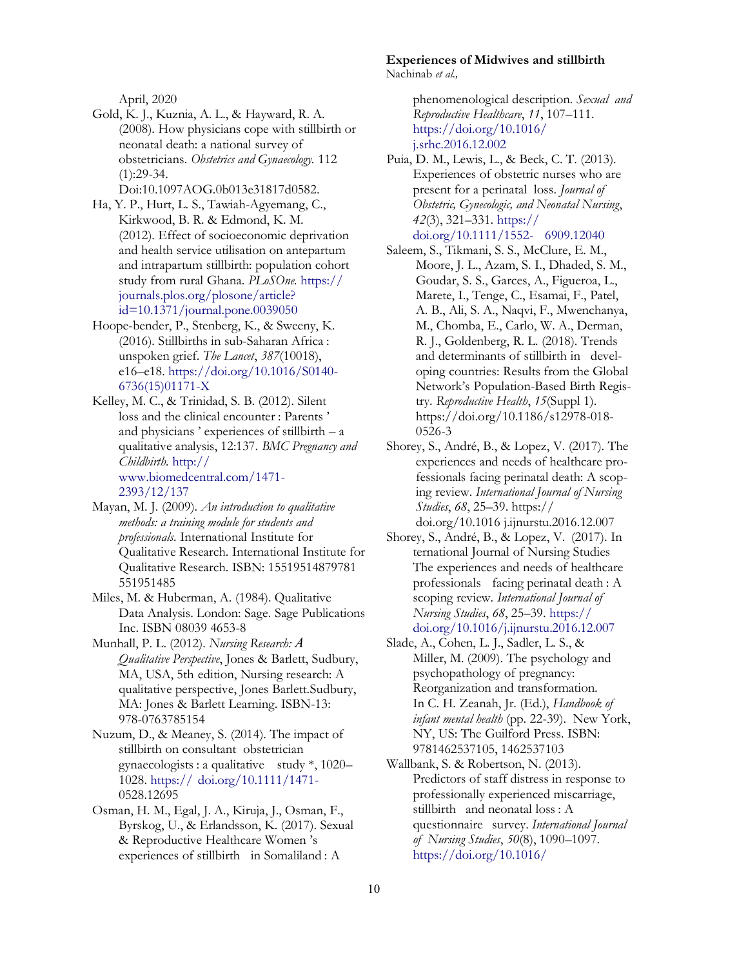April, 2020

Gold, K. J., Kuznia, A. L., & Hayward, R. A. (2008). How physicians cope with stillbirth or neonatal death: a national survey of obstetricians. *Obstetrics and Gynaecology.* 112 (1):29-34.

Doi:10.1097AOG.0b013e31817d0582.

- Ha, Y. P., Hurt, L. S., Tawiah-Agyemang, C., Kirkwood, B. R. & Edmond, K. M. (2012). Effect of socioeconomic deprivation and health service utilisation on antepartum and intrapartum stillbirth: population cohort study from rural Ghana. *PLoSOne.* [https://](https://journals.plos.org/plosone/article?id=10.1371/journal.pone.0039050)  [journals.plos.org/plosone/article?](https://journals.plos.org/plosone/article?id=10.1371/journal.pone.0039050) [id=10.1371/journal.pone.0039050](https://journals.plos.org/plosone/article?id=10.1371/journal.pone.0039050)
- Hoope-bender, P., Stenberg, K., & Sweeny, K. (2016). Stillbirths in sub-Saharan Africa : unspoken grief. *The Lancet*, *387*(10018), e16–e18. [https://doi.org/10.1016/S0140-](https://doi.org/10.1016/S0140-6736(15)01171-X) [6736\(15\)01171-X](https://doi.org/10.1016/S0140-6736(15)01171-X)
- Kelley, M. C., & Trinidad, S. B. (2012). Silent loss and the clinical encounter : Parents ' and physicians ' experiences of stillbirth – a qualitative analysis, 12:137. *BMC Pregnancy and Childbirth.* [http://](http://www.biomedcentral.com/1471-2393/12/137) [www.biomedcentral.com/1471-](http://www.biomedcentral.com/1471-2393/12/137) [2393/12/137](http://www.biomedcentral.com/1471-2393/12/137)
- Mayan, M. J. (2009). *An introduction to qualitative methods: a training module for students and professionals*. International Institute for Qualitative Research. International Institute for Qualitative Research. ISBN: 15519514879781 551951485
- Miles, M. & Huberman, A. (1984). Qualitative Data Analysis. London: Sage. Sage Publications Inc. ISBN 08039 4653-8
- Munhall, P. L. (2012). *Nursing Research: A Qualitative Perspective*, Jones & Barlett, Sudbury, MA, USA, 5th edition, Nursing research: A qualitative perspective, Jones Barlett.Sudbury, MA: Jones & Barlett Learning. ISBN-13: 978-0763785154
- Nuzum, D., & Meaney, S. (2014). The impact of stillbirth on consultant obstetrician gynaecologists : a qualitative study \*, 1020– 1028. https:// [doi.org/10.1111/1471-](https://doi.org/10.1111/1471-) 0528.12695
- Osman, H. M., Egal, J. A., Kiruja, J., Osman, F., Byrskog, U., & Erlandsson, K. (2017). Sexual & Reproductive Healthcare Women 's experiences of stillbirth in Somaliland : A

**Experiences of Midwives and stillbirth**  Nachinab *et al.,*

> phenomenological description. *Sexual and Reproductive Healthcare*, *11*, 107–111. [https://doi.org/10.1016/](https://doi.org/10.1016/j.srhc.2016.12.002) [j.srhc.2016.12.002](https://doi.org/10.1016/j.srhc.2016.12.002)

- Puia, D. M., Lewis, L., & Beck, C. T. (2013). Experiences of obstetric nurses who are present for a perinatal loss. *Journal of Obstetric, Gynecologic, and Neonatal Nursing*, *42*(3), 321–331. [https://](https://doi.org/10.1111/1552-6909.12040) [doi.org/10.1111/1552-](https://doi.org/10.1111/1552-6909.12040) 6909.12040
- Saleem, S., Tikmani, S. S., McClure, E. M., Moore, J. L., Azam, S. I., Dhaded, S. M., Goudar, S. S., Garces, A., Figueroa, L., Marete, I., Tenge, C., Esamai, F., Patel, A. B., Ali, S. A., Naqvi, F., Mwenchanya, M., Chomba, E., Carlo, W. A., Derman, R. J., Goldenberg, R. L. (2018). Trends and determinants of stillbirth in developing countries: Results from the Global Network's Population-Based Birth Registry. *Reproductive Health*, *15*(Suppl 1). https://doi.org/10.1186/s12978-018- 0526-3
- Shorey, S., André, B., & Lopez, V. (2017). The experiences and needs of healthcare professionals facing perinatal death: A scoping review. *International Journal of Nursing Studies*, *68*, 25–39. https:// doi.org/10.1016 j.ijnurstu.2016.12.007
- Shorey, S., André, B., & Lopez, V. (2017). In ternational Journal of Nursing Studies The experiences and needs of healthcare professionals facing perinatal death : A scoping review. *International Journal of Nursing Studies*, *68*, 25–39. [https://](https://doi.org/10.1016/j.ijnurstu.2016.12.007) [doi.org/10.1016/j.ijnurstu.2016.12.007](https://doi.org/10.1016/j.ijnurstu.2016.12.007)
- Slade, A., Cohen, L. J., Sadler, L. S., & Miller, M. (2009). The psychology and psychopathology of pregnancy: Reorganization and transformation. In C. H. Zeanah, Jr. (Ed.), *Handbook of infant mental health* (pp. 22-39). New York, NY, US: The Guilford Press. ISBN: 9781462537105, 1462537103
- Wallbank, S. & Robertson, N. (2013). Predictors of staff distress in response to professionally experienced miscarriage, stillbirth and neonatal loss : A questionnaire survey. *International Journal of Nursing Studies*, *50*(8), 1090–1097. [https://doi.org/10.1016/](https://doi.org/10.1016/j.ijnurstu.2012.11.022)